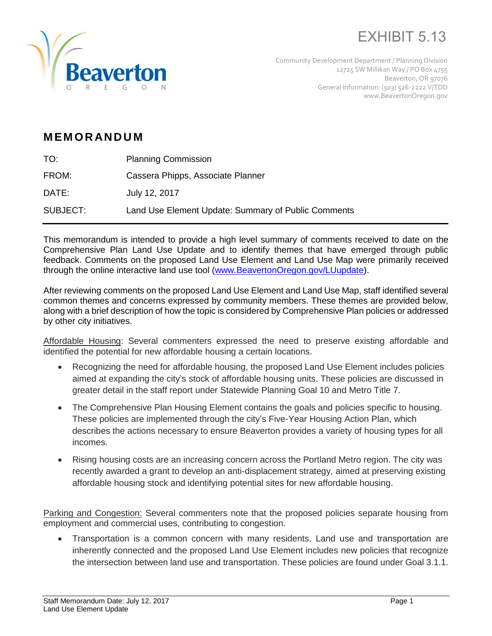



Community Development Department / Planning Division 12725 SW Millikan Way / PO Box 4755 Beaverton, OR 97076 General Information: (503) 526-2222 V/TDD www.BeavertonOregon.gov

## **M EM O R AN D U M**

| TO:      | <b>Planning Commission</b>                          |
|----------|-----------------------------------------------------|
| FROM:    | Cassera Phipps, Associate Planner                   |
| DATE:    | July 12, 2017                                       |
| SUBJECT: | Land Use Element Update: Summary of Public Comments |

This memorandum is intended to provide a high level summary of comments received to date on the Comprehensive Plan Land Use Update and to identify themes that have emerged through public feedback. Comments on the proposed Land Use Element and Land Use Map were primarily received through the online interactive land use tool [\(www.BeavertonOregon.gov/LUupdate\)](http://www.beavertonoregon.gov/LUupdate).

After reviewing comments on the proposed Land Use Element and Land Use Map, staff identified several common themes and concerns expressed by community members. These themes are provided below, along with a brief description of how the topic is considered by Comprehensive Plan policies or addressed by other city initiatives.

Affordable Housing: Several commenters expressed the need to preserve existing affordable and identified the potential for new affordable housing a certain locations.

- Recognizing the need for affordable housing, the proposed Land Use Element includes policies aimed at expanding the city's stock of affordable housing units. These policies are discussed in greater detail in the staff report under Statewide Planning Goal 10 and Metro Title 7.
- The Comprehensive Plan Housing Element contains the goals and policies specific to housing. These policies are implemented through the city's Five-Year Housing Action Plan, which describes the actions necessary to ensure Beaverton provides a variety of housing types for all incomes.
- Rising housing costs are an increasing concern across the Portland Metro region. The city was recently awarded a grant to develop an anti-displacement strategy, aimed at preserving existing affordable housing stock and identifying potential sites for new affordable housing.

Parking and Congestion: Several commenters note that the proposed policies separate housing from employment and commercial uses, contributing to congestion.

 Transportation is a common concern with many residents. Land use and transportation are inherently connected and the proposed Land Use Element includes new policies that recognize the intersection between land use and transportation. These policies are found under Goal 3.1.1.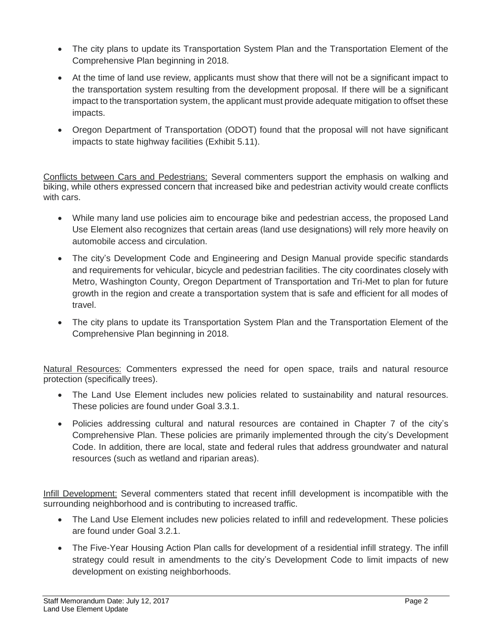- The city plans to update its Transportation System Plan and the Transportation Element of the Comprehensive Plan beginning in 2018.
- At the time of land use review, applicants must show that there will not be a significant impact to the transportation system resulting from the development proposal. If there will be a significant impact to the transportation system, the applicant must provide adequate mitigation to offset these impacts.
- Oregon Department of Transportation (ODOT) found that the proposal will not have significant impacts to state highway facilities (Exhibit 5.11).

Conflicts between Cars and Pedestrians: Several commenters support the emphasis on walking and biking, while others expressed concern that increased bike and pedestrian activity would create conflicts with cars.

- While many land use policies aim to encourage bike and pedestrian access, the proposed Land Use Element also recognizes that certain areas (land use designations) will rely more heavily on automobile access and circulation.
- The city's Development Code and Engineering and Design Manual provide specific standards and requirements for vehicular, bicycle and pedestrian facilities. The city coordinates closely with Metro, Washington County, Oregon Department of Transportation and Tri-Met to plan for future growth in the region and create a transportation system that is safe and efficient for all modes of travel.
- The city plans to update its Transportation System Plan and the Transportation Element of the Comprehensive Plan beginning in 2018.

Natural Resources: Commenters expressed the need for open space, trails and natural resource protection (specifically trees).

- The Land Use Element includes new policies related to sustainability and natural resources. These policies are found under Goal 3.3.1.
- Policies addressing cultural and natural resources are contained in Chapter 7 of the city's Comprehensive Plan. These policies are primarily implemented through the city's Development Code. In addition, there are local, state and federal rules that address groundwater and natural resources (such as wetland and riparian areas).

Infill Development: Several commenters stated that recent infill development is incompatible with the surrounding neighborhood and is contributing to increased traffic.

- The Land Use Element includes new policies related to infill and redevelopment. These policies are found under Goal 3.2.1.
- The Five-Year Housing Action Plan calls for development of a residential infill strategy. The infill strategy could result in amendments to the city's Development Code to limit impacts of new development on existing neighborhoods.